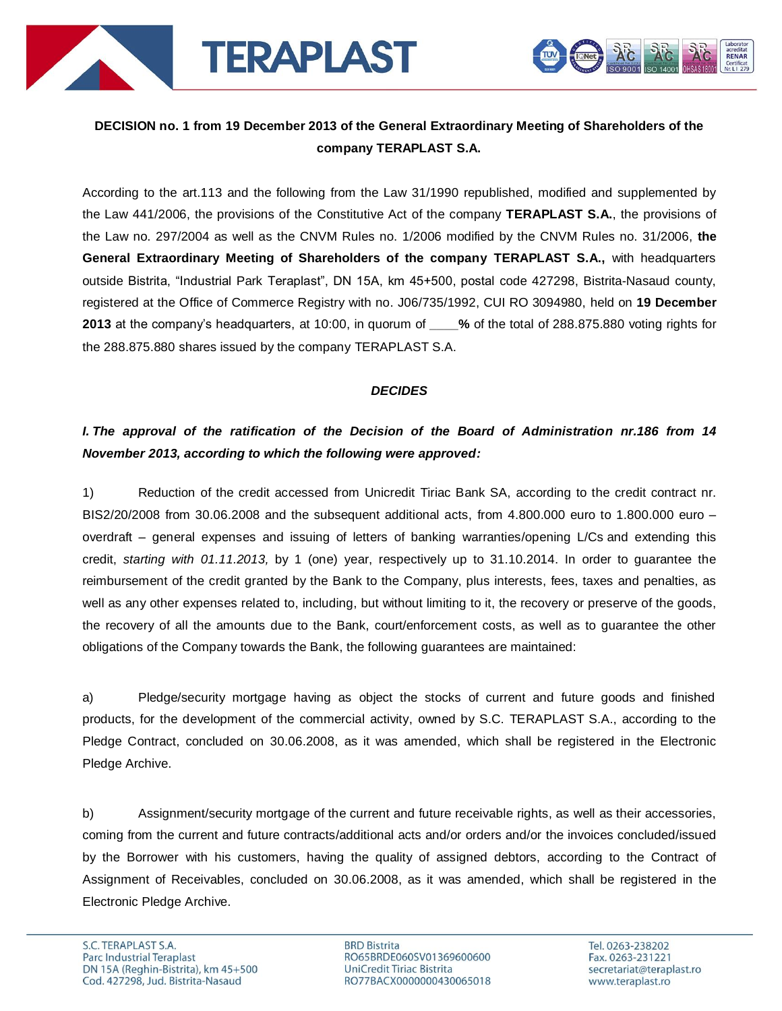

# **DECISION no. 1 from 19 December 2013 of the General Extraordinary Meeting of Shareholders of the company TERAPLAST S.A.**

According to the art.113 and the following from the Law 31/1990 republished, modified and supplemented by the Law 441/2006, the provisions of the Constitutive Act of the company **TERAPLAST S.A.**, the provisions of the Law no. 297/2004 as well as the CNVM Rules no. 1/2006 modified by the CNVM Rules no. 31/2006, **the General Extraordinary Meeting of Shareholders of the company TERAPLAST S.A.,** with headquarters outside Bistrita, "Industrial Park Teraplast", DN 15A, km 45+500, postal code 427298, Bistrita-Nasaud county, registered at the Office of Commerce Registry with no. J06/735/1992, CUI RO 3094980, held on **19 December 2013** at the company's headquarters, at 10:00, in quorum of **\_\_\_\_%** of the total of 288.875.880 voting rights for the 288.875.880 shares issued by the company TERAPLAST S.A.

#### *DECIDES*

# *I. The approval of the ratification of the Decision of the Board of Administration nr.186 from 14 November 2013, according to which the following were approved:*

1) Reduction of the credit accessed from Unicredit Tiriac Bank SA, according to the credit contract nr. BIS2/20/2008 from 30.06.2008 and the subsequent additional acts, from 4.800.000 euro to 1.800.000 euro – overdraft – general expenses and issuing of letters of banking warranties/opening L/Cs and extending this credit, *starting with 01.11.2013,* by 1 (one) year, respectively up to 31.10.2014. In order to guarantee the reimbursement of the credit granted by the Bank to the Company, plus interests, fees, taxes and penalties, as well as any other expenses related to, including, but without limiting to it, the recovery or preserve of the goods, the recovery of all the amounts due to the Bank, court/enforcement costs, as well as to guarantee the other obligations of the Company towards the Bank, the following guarantees are maintained:

a) Pledge/security mortgage having as object the stocks of current and future goods and finished products, for the development of the commercial activity, owned by S.C. TERAPLAST S.A., according to the Pledge Contract, concluded on 30.06.2008, as it was amended, which shall be registered in the Electronic Pledge Archive.

b) Assignment/security mortgage of the current and future receivable rights, as well as their accessories, coming from the current and future contracts/additional acts and/or orders and/or the invoices concluded/issued by the Borrower with his customers, having the quality of assigned debtors, according to the Contract of Assignment of Receivables, concluded on 30.06.2008, as it was amended, which shall be registered in the Electronic Pledge Archive.

**BRD Bistrita** RO65BRDE060SV01369600600 UniCredit Tiriac Bistrita RO77BACX0000000430065018

acreditat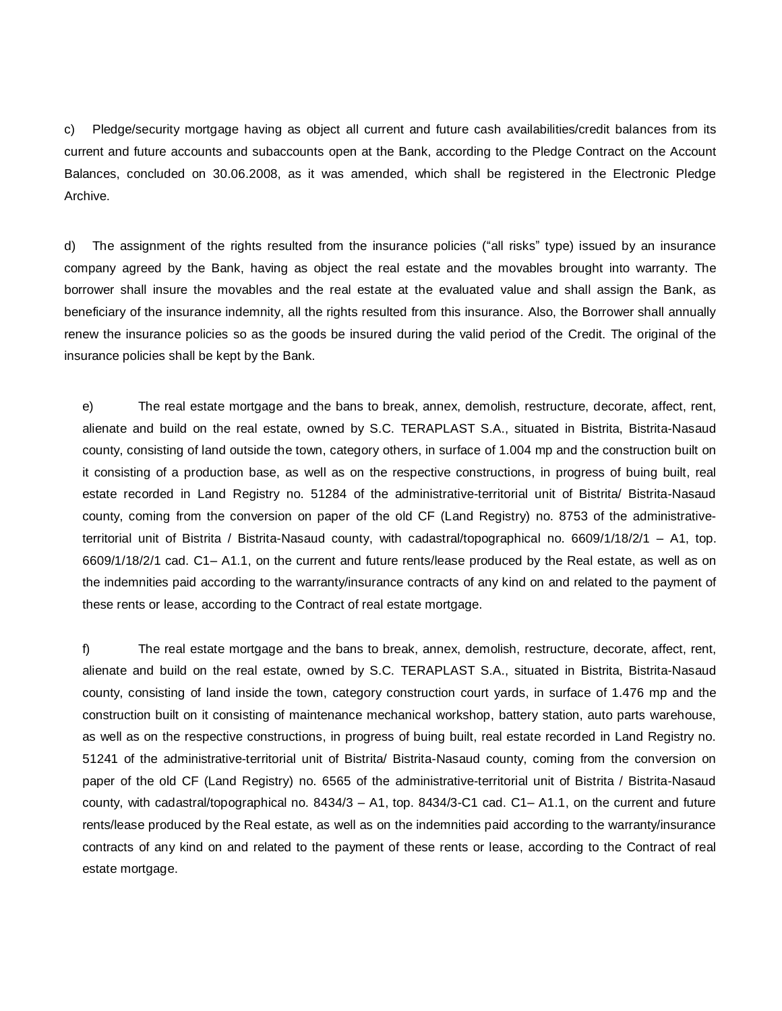c) Pledge/security mortgage having as object all current and future cash availabilities/credit balances from its current and future accounts and subaccounts open at the Bank, according to the Pledge Contract on the Account Balances, concluded on 30.06.2008, as it was amended, which shall be registered in the Electronic Pledge Archive.

d) The assignment of the rights resulted from the insurance policies ("all risks" type) issued by an insurance company agreed by the Bank, having as object the real estate and the movables brought into warranty. The borrower shall insure the movables and the real estate at the evaluated value and shall assign the Bank, as beneficiary of the insurance indemnity, all the rights resulted from this insurance. Also, the Borrower shall annually renew the insurance policies so as the goods be insured during the valid period of the Credit. The original of the insurance policies shall be kept by the Bank.

e) The real estate mortgage and the bans to break, annex, demolish, restructure, decorate, affect, rent, alienate and build on the real estate, owned by S.C. TERAPLAST S.A., situated in Bistrita, Bistrita-Nasaud county, consisting of land outside the town, category others, in surface of 1.004 mp and the construction built on it consisting of a production base, as well as on the respective constructions, in progress of buing built, real estate recorded in Land Registry no. 51284 of the administrative-territorial unit of Bistrita/ Bistrita-Nasaud county, coming from the conversion on paper of the old CF (Land Registry) no. 8753 of the administrativeterritorial unit of Bistrita / Bistrita-Nasaud county, with cadastral/topographical no. 6609/1/18/2/1 – A1, top. 6609/1/18/2/1 cad. C1– A1.1, on the current and future rents/lease produced by the Real estate, as well as on the indemnities paid according to the warranty/insurance contracts of any kind on and related to the payment of these rents or lease, according to the Contract of real estate mortgage.

f) The real estate mortgage and the bans to break, annex, demolish, restructure, decorate, affect, rent, alienate and build on the real estate, owned by S.C. TERAPLAST S.A., situated in Bistrita, Bistrita-Nasaud county, consisting of land inside the town, category construction court yards, in surface of 1.476 mp and the construction built on it consisting of maintenance mechanical workshop, battery station, auto parts warehouse, as well as on the respective constructions, in progress of buing built, real estate recorded in Land Registry no. 51241 of the administrative-territorial unit of Bistrita/ Bistrita-Nasaud county, coming from the conversion on paper of the old CF (Land Registry) no. 6565 of the administrative-territorial unit of Bistrita / Bistrita-Nasaud county, with cadastral/topographical no. 8434/3 – A1, top. 8434/3-C1 cad. C1– A1.1, on the current and future rents/lease produced by the Real estate, as well as on the indemnities paid according to the warranty/insurance contracts of any kind on and related to the payment of these rents or lease, according to the Contract of real estate mortgage.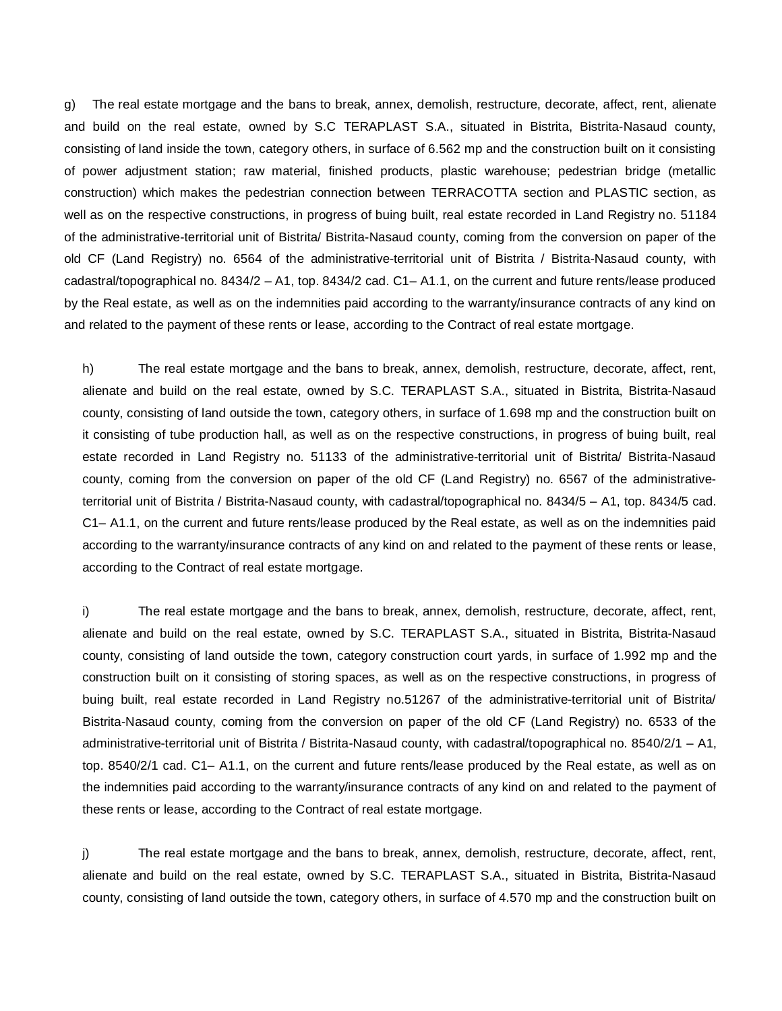g) The real estate mortgage and the bans to break, annex, demolish, restructure, decorate, affect, rent, alienate and build on the real estate, owned by S.C TERAPLAST S.A., situated in Bistrita, Bistrita-Nasaud county, consisting of land inside the town, category others, in surface of 6.562 mp and the construction built on it consisting of power adjustment station; raw material, finished products, plastic warehouse; pedestrian bridge (metallic construction) which makes the pedestrian connection between TERRACOTTA section and PLASTIC section, as well as on the respective constructions, in progress of buing built, real estate recorded in Land Registry no. 51184 of the administrative-territorial unit of Bistrita/ Bistrita-Nasaud county, coming from the conversion on paper of the old CF (Land Registry) no. 6564 of the administrative-territorial unit of Bistrita / Bistrita-Nasaud county, with cadastral/topographical no. 8434/2 – A1, top. 8434/2 cad. C1– A1.1, on the current and future rents/lease produced by the Real estate, as well as on the indemnities paid according to the warranty/insurance contracts of any kind on and related to the payment of these rents or lease, according to the Contract of real estate mortgage.

h) The real estate mortgage and the bans to break, annex, demolish, restructure, decorate, affect, rent, alienate and build on the real estate, owned by S.C. TERAPLAST S.A., situated in Bistrita, Bistrita-Nasaud county, consisting of land outside the town, category others, in surface of 1.698 mp and the construction built on it consisting of tube production hall, as well as on the respective constructions, in progress of buing built, real estate recorded in Land Registry no. 51133 of the administrative-territorial unit of Bistrita/ Bistrita-Nasaud county, coming from the conversion on paper of the old CF (Land Registry) no. 6567 of the administrativeterritorial unit of Bistrita / Bistrita-Nasaud county, with cadastral/topographical no. 8434/5 – A1, top. 8434/5 cad. C1– A1.1, on the current and future rents/lease produced by the Real estate, as well as on the indemnities paid according to the warranty/insurance contracts of any kind on and related to the payment of these rents or lease, according to the Contract of real estate mortgage.

i) The real estate mortgage and the bans to break, annex, demolish, restructure, decorate, affect, rent, alienate and build on the real estate, owned by S.C. TERAPLAST S.A., situated in Bistrita, Bistrita-Nasaud county, consisting of land outside the town, category construction court yards, in surface of 1.992 mp and the construction built on it consisting of storing spaces, as well as on the respective constructions, in progress of buing built, real estate recorded in Land Registry no.51267 of the administrative-territorial unit of Bistrita/ Bistrita-Nasaud county, coming from the conversion on paper of the old CF (Land Registry) no. 6533 of the administrative-territorial unit of Bistrita / Bistrita-Nasaud county, with cadastral/topographical no. 8540/2/1 – A1, top. 8540/2/1 cad. C1– A1.1, on the current and future rents/lease produced by the Real estate, as well as on the indemnities paid according to the warranty/insurance contracts of any kind on and related to the payment of these rents or lease, according to the Contract of real estate mortgage.

j) The real estate mortgage and the bans to break, annex, demolish, restructure, decorate, affect, rent, alienate and build on the real estate, owned by S.C. TERAPLAST S.A., situated in Bistrita, Bistrita-Nasaud county, consisting of land outside the town, category others, in surface of 4.570 mp and the construction built on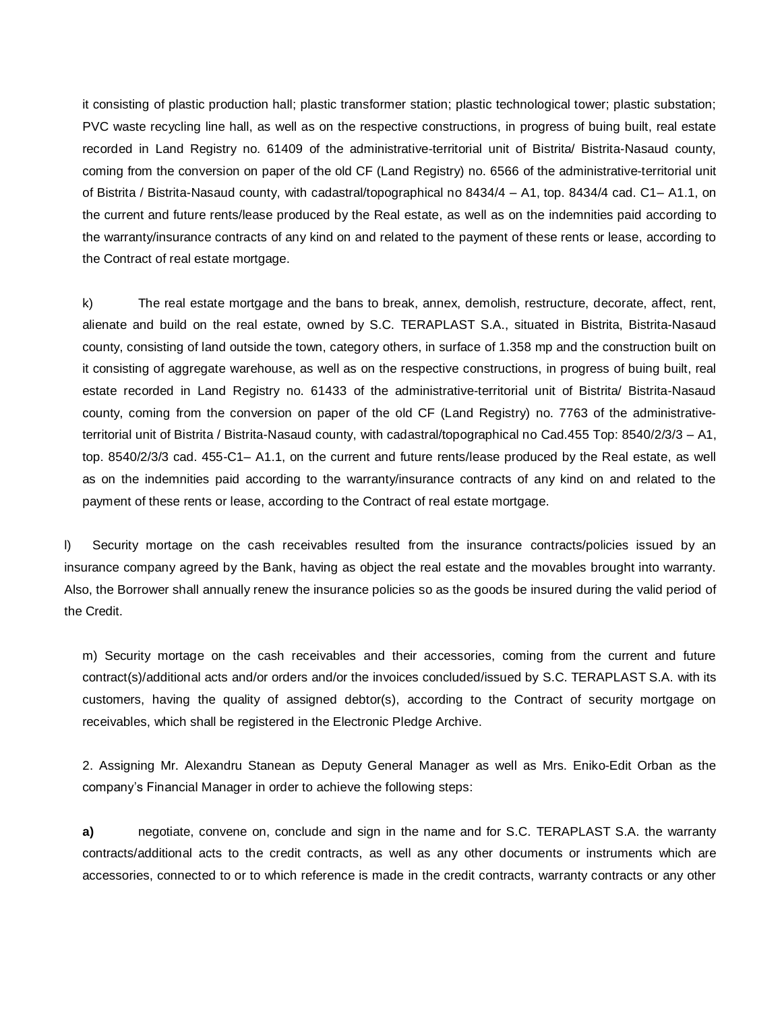it consisting of plastic production hall; plastic transformer station; plastic technological tower; plastic substation; PVC waste recycling line hall, as well as on the respective constructions, in progress of buing built, real estate recorded in Land Registry no. 61409 of the administrative-territorial unit of Bistrita/ Bistrita-Nasaud county, coming from the conversion on paper of the old CF (Land Registry) no. 6566 of the administrative-territorial unit of Bistrita / Bistrita-Nasaud county, with cadastral/topographical no 8434/4 – A1, top. 8434/4 cad. C1– A1.1, on the current and future rents/lease produced by the Real estate, as well as on the indemnities paid according to the warranty/insurance contracts of any kind on and related to the payment of these rents or lease, according to the Contract of real estate mortgage.

k) The real estate mortgage and the bans to break, annex, demolish, restructure, decorate, affect, rent, alienate and build on the real estate, owned by S.C. TERAPLAST S.A., situated in Bistrita, Bistrita-Nasaud county, consisting of land outside the town, category others, in surface of 1.358 mp and the construction built on it consisting of aggregate warehouse, as well as on the respective constructions, in progress of buing built, real estate recorded in Land Registry no. 61433 of the administrative-territorial unit of Bistrita/ Bistrita-Nasaud county, coming from the conversion on paper of the old CF (Land Registry) no. 7763 of the administrativeterritorial unit of Bistrita / Bistrita-Nasaud county, with cadastral/topographical no Cad.455 Top: 8540/2/3/3 – A1, top. 8540/2/3/3 cad. 455-C1– A1.1, on the current and future rents/lease produced by the Real estate, as well as on the indemnities paid according to the warranty/insurance contracts of any kind on and related to the payment of these rents or lease, according to the Contract of real estate mortgage.

l) Security mortage on the cash receivables resulted from the insurance contracts/policies issued by an insurance company agreed by the Bank, having as object the real estate and the movables brought into warranty. Also, the Borrower shall annually renew the insurance policies so as the goods be insured during the valid period of the Credit.

m) Security mortage on the cash receivables and their accessories, coming from the current and future contract(s)/additional acts and/or orders and/or the invoices concluded/issued by S.C. TERAPLAST S.A. with its customers, having the quality of assigned debtor(s), according to the Contract of security mortgage on receivables, which shall be registered in the Electronic Pledge Archive.

2. Assigning Mr. Alexandru Stanean as Deputy General Manager as well as Mrs. Eniko-Edit Orban as the company's Financial Manager in order to achieve the following steps:

**a)** negotiate, convene on, conclude and sign in the name and for S.C. TERAPLAST S.A. the warranty contracts/additional acts to the credit contracts, as well as any other documents or instruments which are accessories, connected to or to which reference is made in the credit contracts, warranty contracts or any other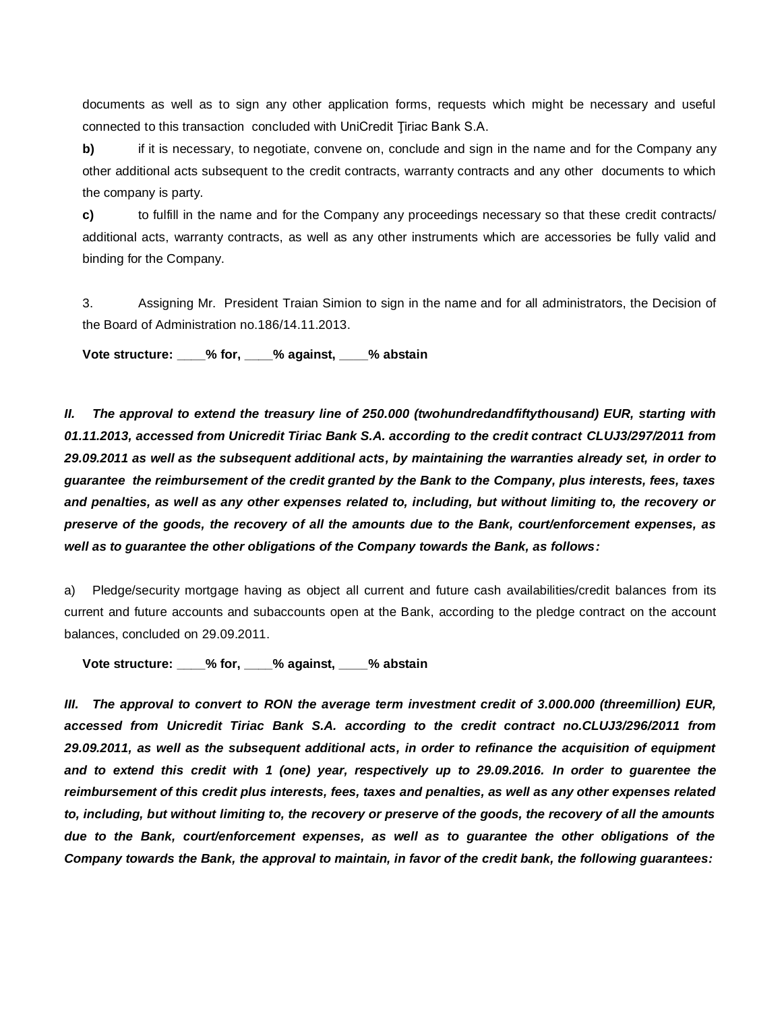documents as well as to sign any other application forms, requests which might be necessary and useful connected to this transaction concluded with UniCredit Tiriac Bank S.A.

**b)** if it is necessary, to negotiate, convene on, conclude and sign in the name and for the Company any other additional acts subsequent to the credit contracts, warranty contracts and any other documents to which the company is party.

**c)** to fulfill in the name and for the Company any proceedings necessary so that these credit contracts/ additional acts, warranty contracts, as well as any other instruments which are accessories be fully valid and binding for the Company.

3. Assigning Mr. President Traian Simion to sign in the name and for all administrators, the Decision of the Board of Administration no.186/14.11.2013.

**Vote structure: \_\_\_\_% for, \_\_\_\_% against, \_\_\_\_% abstain**

*II. The approval to extend the treasury line of 250.000 (twohundredandfiftythousand) EUR, starting with 01.11.2013, accessed from Unicredit Tiriac Bank S.A. according to the credit contract CLUJ3/297/2011 from 29.09.2011 as well as the subsequent additional acts, by maintaining the warranties already set, in order to guarantee the reimbursement of the credit granted by the Bank to the Company, plus interests, fees, taxes and penalties, as well as any other expenses related to, including, but without limiting to, the recovery or preserve of the goods, the recovery of all the amounts due to the Bank, court/enforcement expenses, as well as to guarantee the other obligations of the Company towards the Bank, as follows:*

a) Pledge/security mortgage having as object all current and future cash availabilities/credit balances from its current and future accounts and subaccounts open at the Bank, according to the pledge contract on the account balances, concluded on 29.09.2011.

**Vote structure: \_\_\_\_% for, \_\_\_\_% against, \_\_\_\_% abstain** 

*III. The approval to convert to RON the average term investment credit of 3.000.000 (threemillion) EUR, accessed from Unicredit Tiriac Bank S.A. according to the credit contract no.CLUJ3/296/2011 from 29.09.2011, as well as the subsequent additional acts, in order to refinance the acquisition of equipment and to extend this credit with 1 (one) year, respectively up to 29.09.2016. In order to guarentee the reimbursement of this credit plus interests, fees, taxes and penalties, as well as any other expenses related to, including, but without limiting to, the recovery or preserve of the goods, the recovery of all the amounts due to the Bank, court/enforcement expenses, as well as to guarantee the other obligations of the Company towards the Bank, the approval to maintain, in favor of the credit bank, the following guarantees:*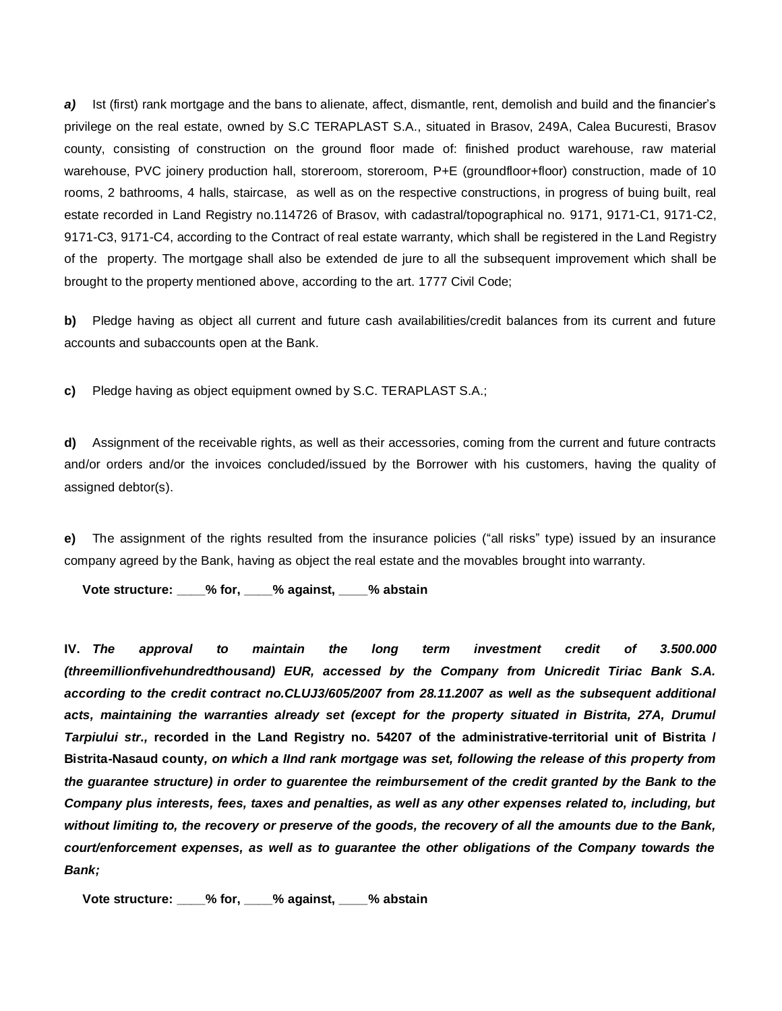*a)* Ist (first) rank mortgage and the bans to alienate, affect, dismantle, rent, demolish and build and the financier's privilege on the real estate, owned by S.C TERAPLAST S.A., situated in Brasov, 249A, Calea Bucuresti, Brasov county, consisting of construction on the ground floor made of: finished product warehouse, raw material warehouse, PVC joinery production hall, storeroom, storeroom, P+E (groundfloor+floor) construction, made of 10 rooms, 2 bathrooms, 4 halls, staircase, as well as on the respective constructions, in progress of buing built, real estate recorded in Land Registry no.114726 of Brasov, with cadastral/topographical no. 9171, 9171-C1, 9171-C2, 9171-C3, 9171-C4, according to the Contract of real estate warranty, which shall be registered in the Land Registry of the property. The mortgage shall also be extended de jure to all the subsequent improvement which shall be brought to the property mentioned above, according to the art. 1777 Civil Code;

**b)** Pledge having as object all current and future cash availabilities/credit balances from its current and future accounts and subaccounts open at the Bank.

**c)** Pledge having as object equipment owned by S.C. TERAPLAST S.A.;

**d)** Assignment of the receivable rights, as well as their accessories, coming from the current and future contracts and/or orders and/or the invoices concluded/issued by the Borrower with his customers, having the quality of assigned debtor(s).

**e)** The assignment of the rights resulted from the insurance policies ("all risks" type) issued by an insurance company agreed by the Bank, having as object the real estate and the movables brought into warranty.

**Vote structure: \_\_\_\_% for, \_\_\_\_% against, \_\_\_\_% abstain** 

**IV.** *The approval to maintain the long term investment credit of 3.500.000 (threemillionfivehundredthousand) EUR, accessed by the Company from Unicredit Tiriac Bank S.A. according to the credit contract no.CLUJ3/605/2007 from 28.11.2007 as well as the subsequent additional acts, maintaining the warranties already set (except for the property situated in Bistrita, 27A, Drumul Tarpiului str.,* **recorded in the Land Registry no. 54207 of the administrative-territorial unit of Bistrita / Bistrita-Nasaud county***, on which a IInd rank mortgage was set, following the release of this property from the guarantee structure) in order to guarentee the reimbursement of the credit granted by the Bank to the Company plus interests, fees, taxes and penalties, as well as any other expenses related to, including, but without limiting to, the recovery or preserve of the goods, the recovery of all the amounts due to the Bank, court/enforcement expenses, as well as to guarantee the other obligations of the Company towards the Bank;*

**Vote structure: \_\_\_\_% for, \_\_\_\_% against, \_\_\_\_% abstain**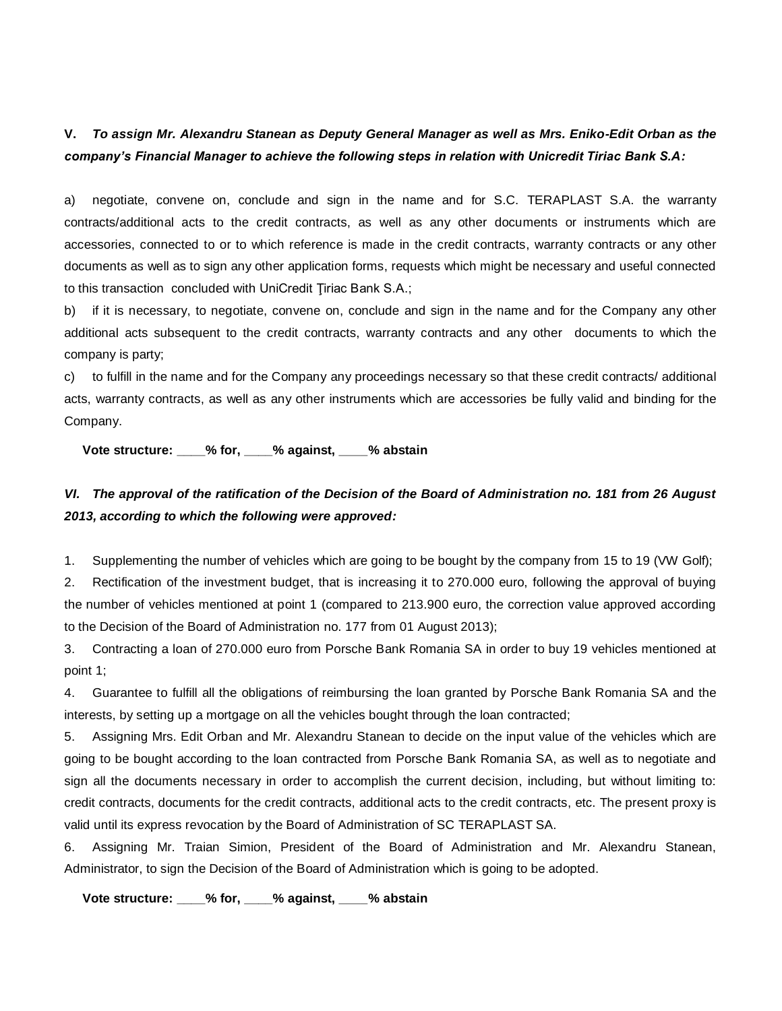### **V.** *To assign Mr. Alexandru Stanean as Deputy General Manager as well as Mrs. Eniko-Edit Orban as the company's Financial Manager to achieve the following steps in relation with Unicredit Tiriac Bank S.A:*

a) negotiate, convene on, conclude and sign in the name and for S.C. TERAPLAST S.A. the warranty contracts/additional acts to the credit contracts, as well as any other documents or instruments which are accessories, connected to or to which reference is made in the credit contracts, warranty contracts or any other documents as well as to sign any other application forms, requests which might be necessary and useful connected to this transaction concluded with UniCredit Ţiriac Bank S.A.;

b) if it is necessary, to negotiate, convene on, conclude and sign in the name and for the Company any other additional acts subsequent to the credit contracts, warranty contracts and any other documents to which the company is party;

c) to fulfill in the name and for the Company any proceedings necessary so that these credit contracts/ additional acts, warranty contracts, as well as any other instruments which are accessories be fully valid and binding for the Company.

**Vote structure: \_\_\_\_% for, \_\_\_\_% against, \_\_\_\_% abstain** 

## *VI. The approval of the ratification of the Decision of the Board of Administration no. 181 from 26 August 2013, according to which the following were approved:*

1. Supplementing the number of vehicles which are going to be bought by the company from 15 to 19 (VW Golf);

2. Rectification of the investment budget, that is increasing it to 270.000 euro, following the approval of buying the number of vehicles mentioned at point 1 (compared to 213.900 euro, the correction value approved according to the Decision of the Board of Administration no. 177 from 01 August 2013);

3. Contracting a loan of 270.000 euro from Porsche Bank Romania SA in order to buy 19 vehicles mentioned at point 1;

4. Guarantee to fulfill all the obligations of reimbursing the loan granted by Porsche Bank Romania SA and the interests, by setting up a mortgage on all the vehicles bought through the loan contracted;

5. Assigning Mrs. Edit Orban and Mr. Alexandru Stanean to decide on the input value of the vehicles which are going to be bought according to the loan contracted from Porsche Bank Romania SA, as well as to negotiate and sign all the documents necessary in order to accomplish the current decision, including, but without limiting to: credit contracts, documents for the credit contracts, additional acts to the credit contracts, etc. The present proxy is valid until its express revocation by the Board of Administration of SC TERAPLAST SA.

6. Assigning Mr. Traian Simion, President of the Board of Administration and Mr. Alexandru Stanean, Administrator, to sign the Decision of the Board of Administration which is going to be adopted.

**Vote structure: \_\_\_\_% for, \_\_\_\_% against, \_\_\_\_% abstain**